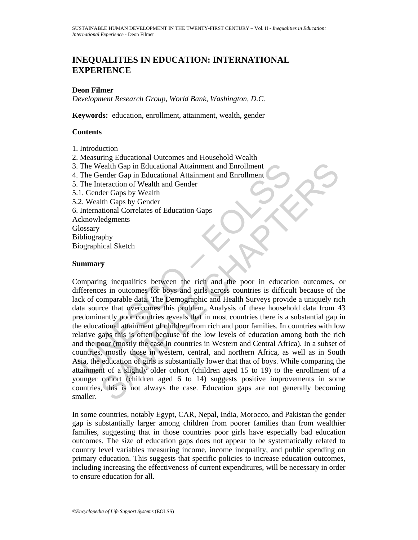# **INEQUALITIES IN EDUCATION: INTERNATIONAL EXPERIENCE**

### **Deon Filmer**

*Development Research Group, World Bank, Washington, D.C.* 

**Keywords:** education, enrollment, attainment, wealth, gender

### **Contents**

- 1. Introduction
- 2. Measuring Educational Outcomes and Household Wealth
- 3. The Wealth Gap in Educational Attainment and Enrollment
- 4. The Gender Gap in Educational Attainment and Enrollment
- 5. The Interaction of Wealth and Gender
- 5.1. Gender Gaps by Wealth
- 5.2. Wealth Gaps by Gender
- 6. International Correlates of Education Gaps
- Acknowledgments
- **Glossary**
- Bibliography
- Biographical Sketch

#### **Summary**

The Wealth Gap in Educational Attainment and Enrollment<br>
The Interaction of Wealth and Gender<br>
1. Gender Gap in Educational Attainment and Enrollment<br>
1. Gender Gaps by Wealth<br>
2. Wealth Gaps by Wealth<br>
2. Wealth Gaps by G Vealth Gap in Educational Attainment and Enrollment<br>
enearch of Wealth and Attainment and Enrollment<br>
enearction of Wealth and Gender<br>
elercacion of Wealth and Gender<br>
elercacion of Wealth and Gender<br>
elercacion of Wealth<br> Comparing inequalities between the rich and the poor in education outcomes, or differences in outcomes for boys and girls across countries is difficult because of the lack of comparable data. The Demographic and Health Surveys provide a uniquely rich data source that overcomes this problem. Analysis of these household data from 43 predominantly poor countries reveals that in most countries there is a substantial gap in the educational attainment of children from rich and poor families. In countries with low relative gaps this is often because of the low levels of education among both the rich and the poor (mostly the case in countries in Western and Central Africa). In a subset of countries, mostly those in western, central, and northern Africa, as well as in South Asia, the education of girls is substantially lower that that of boys. While comparing the attainment of a slightly older cohort (children aged 15 to 19) to the enrollment of a younger cohort (children aged 6 to 14) suggests positive improvements in some countries, this is not always the case. Education gaps are not generally becoming smaller.

In some countries, notably Egypt, CAR, Nepal, India, Morocco, and Pakistan the gender gap is substantially larger among children from poorer families than from wealthier families, suggesting that in those countries poor girls have especially bad education outcomes. The size of education gaps does not appear to be systematically related to country level variables measuring income, income inequality, and public spending on primary education. This suggests that specific policies to increase education outcomes, including increasing the effectiveness of current expenditures, will be necessary in order to ensure education for all.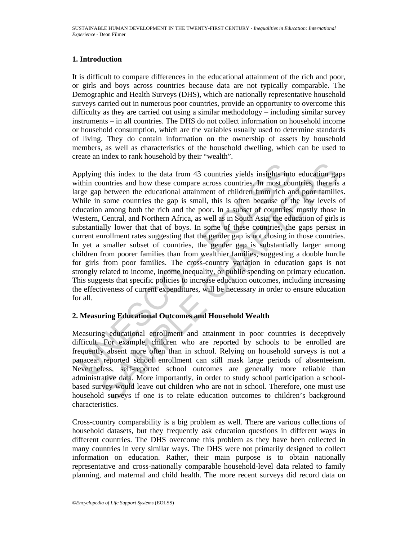## **1. Introduction**

It is difficult to compare differences in the educational attainment of the rich and poor, or girls and boys across countries because data are not typically comparable. The Demographic and Health Surveys (DHS), which are nationally representative household surveys carried out in numerous poor countries, provide an opportunity to overcome this difficulty as they are carried out using a similar methodology – including similar survey instruments – in all countries. The DHS do not collect information on household income or household consumption, which are the variables usually used to determine standards of living. They do contain information on the ownership of assets by household members, as well as characteristics of the household dwelling, which can be used to create an index to rank household by their "wealth".

pplying this index to the data from 43 countries yields insights intitinin countries and how these compare across countries. In most courge gap between the educational attainment of children from rich and while in some cou g this index to the data from 43 countries yields insights into education gay<br>untrires and how these compare across countries, In most countries, there is<br>between the educational attainment of children from rich and poor f Applying this index to the data from 43 countries yields insights into education gaps within countries and how these compare across countries. In most countries, there is a large gap between the educational attainment of children from rich and poor families. While in some countries the gap is small, this is often because of the low levels of education among both the rich and the poor. In a subset of countries, mostly those in Western, Central, and Northern Africa, as well as in South Asia, the education of girls is substantially lower that that of boys. In some of these countries, the gaps persist in current enrollment rates suggesting that the gender gap is not closing in those countries. In yet a smaller subset of countries, the gender gap is substantially larger among children from poorer families than from wealthier families, suggesting a double hurdle for girls from poor families. The cross-country variation in education gaps is not strongly related to income, income inequality, or public spending on primary education. This suggests that specific policies to increase education outcomes, including increasing the effectiveness of current expenditures, will be necessary in order to ensure education for all.

# **2. Measuring Educational Outcomes and Household Wealth**

Measuring educational enrollment and attainment in poor countries is deceptively difficult. For example, children who are reported by schools to be enrolled are frequently absent more often than in school. Relying on household surveys is not a panacea: reported school enrollment can still mask large periods of absenteeism. Nevertheless, self-reported school outcomes are generally more reliable than administrative data. More importantly, in order to study school participation a schoolbased survey would leave out children who are not in school. Therefore, one must use household surveys if one is to relate education outcomes to children's background characteristics.

Cross-country comparability is a big problem as well. There are various collections of household datasets, but they frequently ask education questions in different ways in different countries. The DHS overcome this problem as they have been collected in many countries in very similar ways. The DHS were not primarily designed to collect information on education. Rather, their main purpose is to obtain nationally representative and cross-nationally comparable household-level data related to family planning, and maternal and child health. The more recent surveys did record data on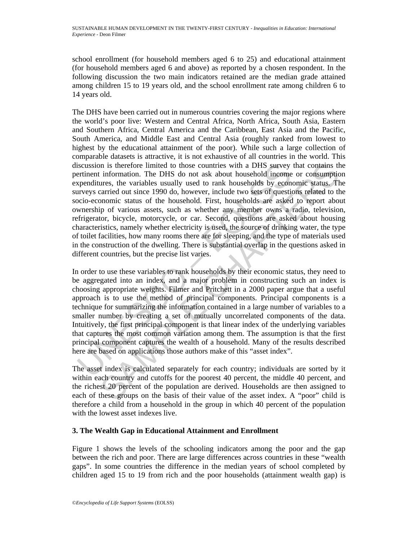school enrollment (for household members aged 6 to 25) and educational attainment (for household members aged 6 and above) as reported by a chosen respondent. In the following discussion the two main indicators retained are the median grade attained among children 15 to 19 years old, and the school enrollment rate among children 6 to 14 years old.

iscussion is therefore limited to those countries with a DHS survey<br>ertinent information. The DHS do not ask about households incomend<br>vependitures, the variables usually used to rank households by econ-<br>arveys carried out Information. The DHS do not ask about household income or consumption<br>information. The DHS sure the variables usually used to rank households by cconomic status. The variables usually used to rank households by cconomic st The DHS have been carried out in numerous countries covering the major regions where the world's poor live: Western and Central Africa, North Africa, South Asia, Eastern and Southern Africa, Central America and the Caribbean, East Asia and the Pacific, South America, and Middle East and Central Asia (roughly ranked from lowest to highest by the educational attainment of the poor). While such a large collection of comparable datasets is attractive, it is not exhaustive of all countries in the world. This discussion is therefore limited to those countries with a DHS survey that contains the pertinent information. The DHS do not ask about household income or consumption expenditures, the variables usually used to rank households by economic status. The surveys carried out since 1990 do, however, include two sets of questions related to the socio-economic status of the household. First, households are asked to report about ownership of various assets, such as whether any member owns a radio, television, refrigerator, bicycle, motorcycle, or car. Second, questions are asked about housing characteristics, namely whether electricity is used, the source of drinking water, the type of toilet facilities, how many rooms there are for sleeping, and the type of materials used in the construction of the dwelling. There is substantial overlap in the questions asked in different countries, but the precise list varies.

In order to use these variables to rank households by their economic status, they need to be aggregated into an index, and a major problem in constructing such an index is choosing appropriate weights. Filmer and Pritchett in a 2000 paper argue that a useful approach is to use the method of principal components. Principal components is a technique for summarizing the information contained in a large number of variables to a smaller number by creating a set of mutually uncorrelated components of the data. Intuitively, the first principal component is that linear index of the underlying variables that captures the most common variation among them. The assumption is that the first principal component captures the wealth of a household. Many of the results described here are based on applications those authors make of this "asset index".

The asset index is calculated separately for each country; individuals are sorted by it within each country and cutoffs for the poorest 40 percent, the middle 40 percent, and the richest 20 percent of the population are derived. Households are then assigned to each of these groups on the basis of their value of the asset index. A "poor" child is therefore a child from a household in the group in which 40 percent of the population with the lowest asset indexes live.

# **3. The Wealth Gap in Educational Attainment and Enrollment**

Figure 1 shows the levels of the schooling indicators among the poor and the gap between the rich and poor. There are large differences across countries in these "wealth gaps". In some countries the difference in the median years of school completed by children aged 15 to 19 from rich and the poor households (attainment wealth gap) is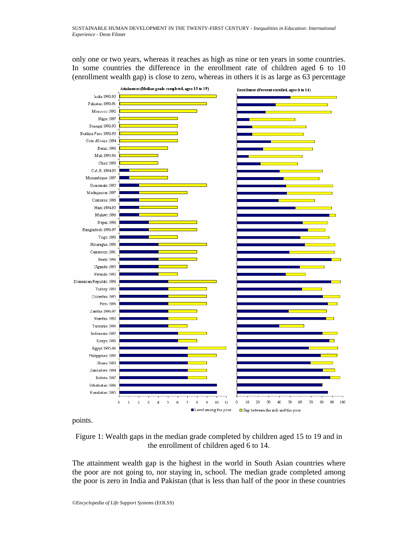only one or two years, whereas it reaches as high as nine or ten years in some countries. In some countries the difference in the enrollment rate of children aged 6 to 10 (enrollment wealth gap) is close to zero, whereas in others it is as large as 63 percentage



points.

![](_page_3_Figure_4.jpeg)

The attainment wealth gap is the highest in the world in South Asian countries where the poor are not going to, nor staying in, school. The median grade completed among the poor is zero in India and Pakistan (that is less than half of the poor in these countries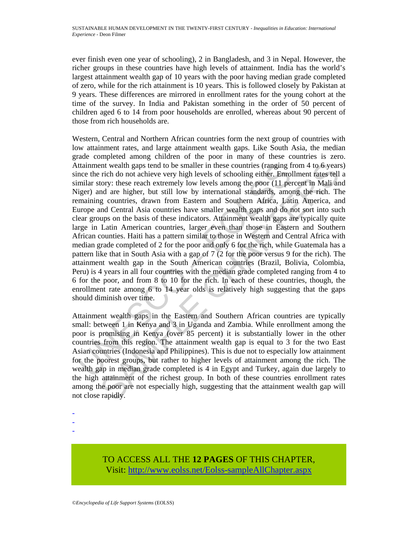ever finish even one year of schooling), 2 in Bangladesh, and 3 in Nepal. However, the richer groups in these countries have high levels of attainment. India has the world's largest attainment wealth gap of 10 years with the poor having median grade completed of zero, while for the rich attainment is 10 years. This is followed closely by Pakistan at 9 years. These differences are mirrored in enrollment rates for the young cohort at the time of the survey. In India and Pakistan something in the order of 50 percent of children aged 6 to 14 from poor households are enrolled, whereas about 90 percent of those from rich households are.

ttainment wealth gaps tend to be smaller in these countries (ranging f<br>noe the rich do not achieve very high levels of schooling either. Enror<br>minar story: these reach extremely low levels among the poor (11 per<br>imparary a nt wealth gaps tend to be smaller in these countries (ranging from 4 to 6 years<br>rich do not achieve very high levels of schooling either. Emollement rates tell<br>to not achieve very high levels among the poor (11 percent in Western, Central and Northern African countries form the next group of countries with low attainment rates, and large attainment wealth gaps. Like South Asia, the median grade completed among children of the poor in many of these countries is zero. Attainment wealth gaps tend to be smaller in these countries (ranging from 4 to 6 years) since the rich do not achieve very high levels of schooling either. Enrollment rates tell a similar story: these reach extremely low levels among the poor (11 percent in Mali and Niger) and are higher, but still low by international standards, among the rich. The remaining countries, drawn from Eastern and Southern Africa, Latin America, and Europe and Central Asia countries have smaller wealth gaps and do not sort into such clear groups on the basis of these indicators. Attainment wealth gaps are typically quite large in Latin American countries, larger even than those in Eastern and Southern African counties. Haiti has a pattern similar to those in Western and Central Africa with median grade completed of 2 for the poor and only 6 for the rich, while Guatemala has a pattern like that in South Asia with a gap of 7 (2 for the poor versus 9 for the rich). The attainment wealth gap in the South American countries (Brazil, Bolivia, Colombia, Peru) is 4 years in all four countries with the median grade completed ranging from 4 to 6 for the poor, and from 8 to 10 for the rich. In each of these countries, though, the enrollment rate among 6 to 14 year olds is relatively high suggesting that the gaps should diminish over time.

Attainment wealth gaps in the Eastern and Southern African countries are typically small: between 1 in Kenya and 3 in Uganda and Zambia. While enrollment among the poor is promising in Kenya (over 85 percent) it is substantially lower in the other countries from this region. The attainment wealth gap is equal to 3 for the two East Asian countries (Indonesia and Philippines). This is due not to especially low attainment for the poorest groups, but rather to higher levels of attainment among the rich. The wealth gap in median grade completed is 4 in Egypt and Turkey, again due largely to the high attainment of the richest group. In both of these countries enrollment rates among the poor are not especially high, suggesting that the attainment wealth gap will not close rapidly.

- -
- -
- -

TO ACCESS ALL THE **12 PAGES** OF THIS CHAPTER, Visi[t: http://www.eolss.net/Eolss-sampleAllChapter.aspx](https://www.eolss.net/ebooklib/sc_cart.aspx?File=E6-60-04-04)